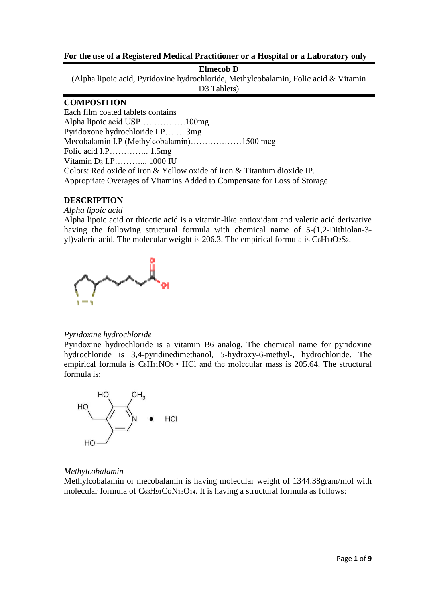#### **For the use of a Registered Medical Practitioner or a Hospital or a Laboratory only**

#### **Elmecob D**

(Alpha lipoic acid, Pyridoxine hydrochloride, Methylcobalamin, Folic acid & Vitamin D3 Tablets)

#### **COMPOSITION**

Each film coated tablets contains Alpha lipoic acid USP…………….100mg Pyridoxone hydrochloride I.P……. 3mg Mecobalamin I.P (Methylcobalamin)………………1500 mcg Folic acid I.P………….. 1.5mg Vitamin D<sup>3</sup> I.P………... 1000 IU Colors: Red oxide of iron & Yellow oxide of iron & Titanium dioxide IP. Appropriate Overages of Vitamins Added to Compensate for Loss of Storage

#### **DESCRIPTION**

*Alpha lipoic acid*

Alpha lipoic acid or thioctic acid is a vitamin-like antioxidant and valeric acid derivative having the following structural formula with chemical name of 5-(1,2-Dithiolan-3 yl)valeric acid. The molecular weight is 206.3. The empirical formula is C6H14O2S2.



#### *Pyridoxine hydrochloride*

Pyridoxine hydrochloride is a vitamin B6 analog. The chemical name for pyridoxine hydrochloride is 3,4-pyridinedimethanol, 5-hydroxy-6-methyl-, hydrochloride. The empirical formula is  $CsH<sub>11</sub>NO<sub>3</sub>$  • HCl and the molecular mass is 205.64. The structural formula is:



#### *Methylcobalamin*

Methylcobalamin or mecobalamin is having molecular weight of 1344.38gram/mol with molecular formula of C63H91CoN13O14. It is having a structural formula as follows: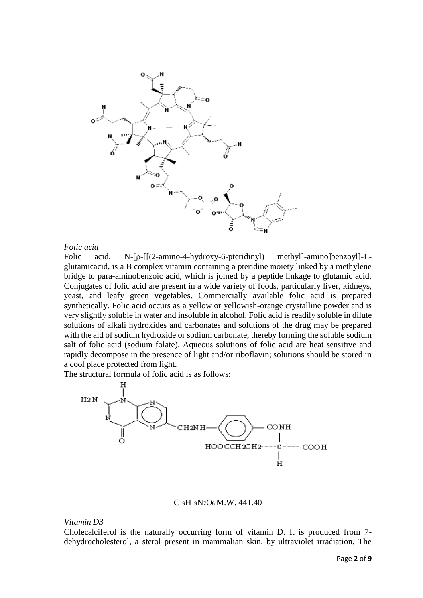

#### *Folic acid*

Folic acid, N-[ρ-[[(2-amino-4-hydroxy-6-pteridinyl) methyl]-amino]benzoyl]-Lglutamicacid, is a B complex vitamin containing a pteridine moiety linked by a methylene bridge to para-aminobenzoic acid, which is joined by a peptide linkage to glutamic acid. Conjugates of folic acid are present in a wide variety of foods, particularly liver, kidneys, yeast, and leafy green vegetables. Commercially available folic acid is prepared synthetically. Folic acid occurs as a yellow or yellowish-orange crystalline powder and is very slightly soluble in water and insoluble in alcohol. Folic acid is readily soluble in dilute solutions of alkali hydroxides and carbonates and solutions of the drug may be prepared with the aid of sodium hydroxide or sodium carbonate, thereby forming the soluble sodium salt of folic acid (sodium folate). Aqueous solutions of folic acid are heat sensitive and rapidly decompose in the presence of light and/or riboflavin; solutions should be stored in a cool place protected from light.

The structural formula of folic acid is as follows:



C19H19N7O6 M.W. 441.40

*Vitamin D3*

Cholecalciferol is the naturally occurring form of vitamin D. It is produced from 7 dehydrocholesterol, a sterol present in mammalian skin, by ultraviolet irradiation. The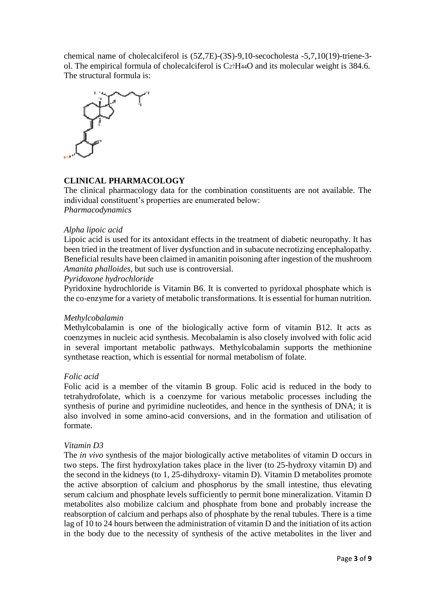chemical name of cholecalciferol is (5Z,7E)-(3S)-9,10-secocholesta -5,7,10(19)-triene-3 ol. The empirical formula of cholecalciferol is C27H44O and its molecular weight is 384.6. The structural formula is:



## **CLINICAL PHARMACOLOGY**

The clinical pharmacology data for the combination constituents are not available. The individual constituent's properties are enumerated below: *Pharmacodynamics*

#### *Alpha lipoic acid*

Lipoic acid is used for its antoxidant effects in the treatment of diabetic neuropathy. It has been tried in the treatment of liver dysfunction and in subacute necrotizing encephalopathy. Beneficial results have been claimed in amanitin poisoning after ingestion of the mushroom *Amanita phalloides,* but such use is controversial.

#### *Pyridoxone hydrochloride*

Pyridoxine hydrochloride is Vitamin B6. It is converted to pyridoxal phosphate which is the co-enzyme for a variety of metabolic transformations. It is essential for human nutrition.

#### *Methylcobalamin*

Methylcobalamin is one of the biologically active form of vitamin B12. It acts as coenzymes in nucleic acid synthesis. Mecobalamin is also closely involved with folic acid in several important metabolic pathways. Methylcobalamin supports the methionine synthetase reaction, which is essential for normal metabolism of folate.

#### *Folic acid*

Folic acid is a member of the vitamin B group. Folic acid is reduced in the body to tetrahydrofolate, which is a coenzyme for various metabolic processes including the synthesis of purine and pyrimidine nucleotides, and hence in the synthesis of DNA; it is also involved in some amino-acid conversions, and in the formation and utilisation of formate.

#### *Vitamin D3*

The *in vivo* synthesis of the major biologically active metabolites of vitamin D occurs in two steps. The first hydroxylation takes place in the liver (to 25-hydroxy vitamin D) and the second in the kidneys (to 1, 25-dihydroxy- vitamin D). Vitamin D metabolites promote the active absorption of calcium and phosphorus by the small intestine, thus elevating serum calcium and phosphate levels sufficiently to permit bone mineralization. Vitamin D metabolites also mobilize calcium and phosphate from bone and probably increase the reabsorption of calcium and perhaps also of phosphate by the renal tubules. There is a time lag of 10 to 24 hours between the administration of vitamin D and the initiation of its action in the body due to the necessity of synthesis of the active metabolites in the liver and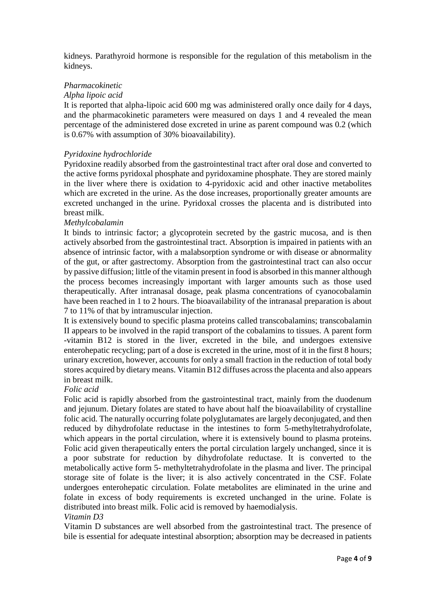kidneys. Parathyroid hormone is responsible for the regulation of this metabolism in the kidneys.

# *Pharmacokinetic*

### *Alpha lipoic acid*

It is reported that alpha-lipoic acid 600 mg was administered orally once daily for 4 days, and the pharmacokinetic parameters were measured on days 1 and 4 revealed the mean percentage of the administered dose excreted in urine as parent compound was 0.2 (which is 0.67% with assumption of 30% bioavailability).

## *Pyridoxine hydrochloride*

Pyridoxine readily absorbed from the gastrointestinal tract after oral dose and converted to the active forms pyridoxal phosphate and pyridoxamine phosphate. They are stored mainly in the liver where there is oxidation to 4-pyridoxic acid and other inactive metabolites which are excreted in the urine. As the dose increases, proportionally greater amounts are excreted unchanged in the urine. Pyridoxal crosses the placenta and is distributed into breast milk.

### *Methylcobalamin*

It binds to intrinsic factor; a glycoprotein secreted by the gastric mucosa, and is then actively absorbed from the gastrointestinal tract. Absorption is impaired in patients with an absence of intrinsic factor, with a malabsorption syndrome or with disease or abnormality of the gut, or after gastrectomy. Absorption from the gastrointestinal tract can also occur by passive diffusion; little of the vitamin present in food is absorbed in this manner although the process becomes increasingly important with larger amounts such as those used therapeutically. After intranasal dosage, peak plasma concentrations of cyanocobalamin have been reached in 1 to 2 hours. The bioavailability of the intranasal preparation is about 7 to 11% of that by intramuscular injection.

It is extensively bound to specific plasma proteins called transcobalamins; transcobalamin II appears to be involved in the rapid transport of the cobalamins to tissues. A parent form -vitamin B12 is stored in the liver, excreted in the bile, and undergoes extensive enterohepatic recycling; part of a dose is excreted in the urine, most of it in the first 8 hours; urinary excretion, however, accounts for only a small fraction in the reduction of total body stores acquired by dietary means. Vitamin B12 diffuses across the placenta and also appears in breast milk.

### *Folic acid*

Folic acid is rapidly absorbed from the gastrointestinal tract, mainly from the duodenum and jejunum. Dietary folates are stated to have about half the bioavailability of crystalline folic acid. The naturally occurring folate polyglutamates are largely deconjugated, and then reduced by dihydrofolate reductase in the intestines to form 5-methyltetrahydrofolate, which appears in the portal circulation, where it is extensively bound to plasma proteins. Folic acid given therapeutically enters the portal circulation largely unchanged, since it is a poor substrate for reduction by dihydrofolate reductase. It is converted to the metabolically active form 5- methyltetrahydrofolate in the plasma and liver. The principal storage site of folate is the liver; it is also actively concentrated in the CSF. Folate undergoes enterohepatic circulation. Folate metabolites are eliminated in the urine and folate in excess of body requirements is excreted unchanged in the urine. Folate is distributed into breast milk. Folic acid is removed by haemodialysis.

### *Vitamin D3*

Vitamin D substances are well absorbed from the gastrointestinal tract. The presence of bile is essential for adequate intestinal absorption; absorption may be decreased in patients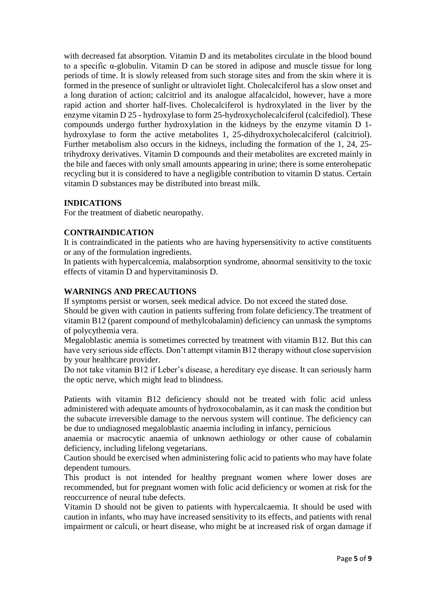with decreased fat absorption. Vitamin D and its metabolites circulate in the blood bound to a specific α-globulin. Vitamin D can be stored in adipose and muscle tissue for long periods of time. It is slowly released from such storage sites and from the skin where it is formed in the presence of sunlight or ultraviolet light. Cholecalciferol has a slow onset and a long duration of action; calcitriol and its analogue alfacalcidol, however, have a more rapid action and shorter half-lives. Cholecalciferol is hydroxylated in the liver by the enzyme vitamin D 25 - hydroxylase to form 25-hydroxycholecalciferol (calcifediol). These compounds undergo further hydroxylation in the kidneys by the enzyme vitamin D 1 hydroxylase to form the active metabolites 1, 25-dihydroxycholecalciferol (calcitriol). Further metabolism also occurs in the kidneys, including the formation of the 1, 24, 25 trihydroxy derivatives. Vitamin D compounds and their metabolites are excreted mainly in the bile and faeces with only small amounts appearing in urine; there is some enterohepatic recycling but it is considered to have a negligible contribution to vitamin D status. Certain vitamin D substances may be distributed into breast milk.

## **INDICATIONS**

For the treatment of diabetic neuropathy.

## **CONTRAINDICATION**

It is contraindicated in the patients who are having hypersensitivity to active constituents or any of the formulation ingredients.

In patients with hypercalcemia, malabsorption syndrome, abnormal sensitivity to the toxic effects of vitamin D and hypervitaminosis D.

### **WARNINGS AND PRECAUTIONS**

If symptoms persist or worsen, seek medical advice. Do not exceed the stated dose.

Should be given with caution in patients suffering from folate deficiency.The treatment of vitamin B12 (parent compound of methylcobalamin) deficiency can unmask the symptoms of polycythemia vera.

Megaloblastic anemia is sometimes corrected by treatment with vitamin B12. But this can have very serious side effects. Don't attempt vitamin B12 therapy without close supervision by your healthcare provider.

Do not take vitamin B12 if Leber's disease, a hereditary eye disease. It can seriously harm the optic nerve, which might lead to blindness.

Patients with vitamin B12 deficiency should not be treated with folic acid unless administered with adequate amounts of hydroxocobalamin, as it can mask the condition but the subacute irreversible damage to the nervous system will continue. The deficiency can be due to undiagnosed megaloblastic anaemia including in infancy, pernicious

anaemia or macrocytic anaemia of unknown aethiology or other cause of cobalamin deficiency, including lifelong vegetarians.

Caution should be exercised when administering folic acid to patients who may have folate dependent tumours.

This product is not intended for healthy pregnant women where lower doses are recommended, but for pregnant women with folic acid deficiency or women at risk for the reoccurrence of neural tube defects.

Vitamin D should not be given to patients with hypercalcaemia. It should be used with caution in infants, who may have increased sensitivity to its effects, and patients with renal impairment or calculi, or heart disease, who might be at increased risk of organ damage if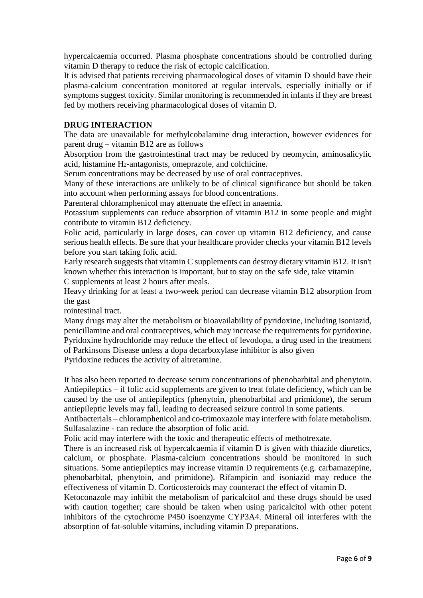hypercalcaemia occurred. Plasma phosphate concentrations should be controlled during vitamin D therapy to reduce the risk of ectopic calcification.

It is advised that patients receiving pharmacological doses of vitamin D should have their plasma-calcium concentration monitored at regular intervals, especially initially or if symptoms suggest toxicity. Similar monitoring is recommended in infants if they are breast fed by mothers receiving pharmacological doses of vitamin D.

### **DRUG INTERACTION**

The data are unavailable for methylcobalamine drug interaction, however evidences for parent drug – vitamin B12 are as follows

Absorption from the gastrointestinal tract may be reduced by neomycin, aminosalicylic acid, histamine H2-antagonists, omeprazole, and colchicine.

Serum concentrations may be decreased by use of oral contraceptives.

Many of these interactions are unlikely to be of clinical significance but should be taken into account when performing assays for blood concentrations.

Parenteral chloramphenicol may attenuate the effect in anaemia.

Potassium supplements can reduce absorption of vitamin B12 in some people and might contribute to vitamin B12 deficiency.

Folic acid, particularly in large doses, can cover up vitamin B12 deficiency, and cause serious health effects. Be sure that your healthcare provider checks your vitamin B12 levels before you start taking folic acid.

Early research suggests that vitamin C supplements can destroy dietary vitamin B12. It isn't known whether this interaction is important, but to stay on the safe side, take vitamin C supplements at least 2 hours after meals.

Heavy drinking for at least a two-week period can decrease vitamin B12 absorption from the gast

rointestinal tract.

Many drugs may alter the metabolism or bioavailability of pyridoxine, including isoniazid, penicillamine and oral contraceptives, which may increase the requirements for pyridoxine. Pyridoxine hydrochloride may reduce the effect of levodopa, a drug used in the treatment of Parkinsons Disease unless a dopa decarboxylase inhibitor is also given

Pyridoxine reduces the activity of altretamine.

It has also been reported to decrease serum concentrations of phenobarbital and phenytoin. Antiepileptics – if folic acid supplements are given to treat folate deficiency, which can be caused by the use of antiepileptics (phenytoin, phenobarbital and primidone), the serum antiepileptic levels may fall, leading to decreased seizure control in some patients.

Antibacterials – chloramphenicol and co-trimoxazole may interfere with folate metabolism. Sulfasalazine - can reduce the absorption of folic acid.

Folic acid may interfere with the toxic and therapeutic effects of methotrexate.

There is an increased risk of hypercalcaemia if vitamin D is given with thiazide diuretics, calcium, or phosphate. Plasma-calcium concentrations should be monitored in such situations. Some antiepileptics may increase vitamin D requirements (e.g. carbamazepine, phenobarbital, phenytoin, and primidone). Rifampicin and isoniazid may reduce the effectiveness of vitamin D. Corticosteroids may counteract the effect of vitamin D.

Ketoconazole may inhibit the metabolism of paricalcitol and these drugs should be used with caution together; care should be taken when using paricalcitol with other potent inhibitors of the cytochrome P450 isoenzyme CYP3A4. Mineral oil interferes with the absorption of fat-soluble vitamins, including vitamin D preparations.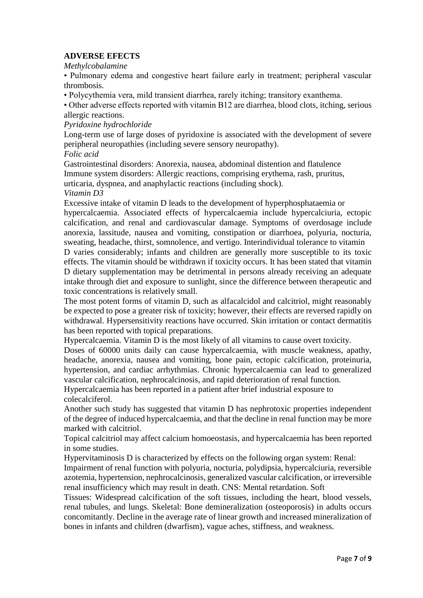## **ADVERSE EFECTS**

*Methylcobalamine*

• Pulmonary edema and congestive heart failure early in treatment; peripheral vascular thrombosis.

• Polycythemia vera, mild transient diarrhea, rarely itching; transitory exanthema.

• Other adverse effects reported with vitamin B12 are diarrhea, blood clots, itching, serious allergic reactions.

*Pyridoxine hydrochloride*

Long-term use of large doses of pyridoxine is associated with the development of severe peripheral neuropathies (including severe sensory neuropathy).

*Folic acid*

Gastrointestinal disorders: Anorexia, nausea, abdominal distention and flatulence Immune system disorders: Allergic reactions, comprising erythema, rash, pruritus, urticaria, dyspnea, and anaphylactic reactions (including shock).

*Vitamin D3*

Excessive intake of vitamin D leads to the development of hyperphosphataemia or hypercalcaemia. Associated effects of hypercalcaemia include hypercalciuria, ectopic calcification, and renal and cardiovascular damage. Symptoms of overdosage include anorexia, lassitude, nausea and vomiting, constipation or diarrhoea, polyuria, nocturia, sweating, headache, thirst, somnolence, and vertigo. Interindividual tolerance to vitamin D varies considerably; infants and children are generally more susceptible to its toxic effects. The vitamin should be withdrawn if toxicity occurs. It has been stated that vitamin D dietary supplementation may be detrimental in persons already receiving an adequate intake through diet and exposure to sunlight, since the difference between therapeutic and toxic concentrations is relatively small.

The most potent forms of vitamin D, such as alfacalcidol and calcitriol, might reasonably be expected to pose a greater risk of toxicity; however, their effects are reversed rapidly on withdrawal. Hypersensitivity reactions have occurred. Skin irritation or contact dermatitis has been reported with topical preparations.

Hypercalcaemia. Vitamin D is the most likely of all vitamins to cause overt toxicity.

Doses of 60000 units daily can cause hypercalcaemia, with muscle weakness, apathy, headache, anorexia, nausea and vomiting, bone pain, ectopic calcification, proteinuria, hypertension, and cardiac arrhythmias. Chronic hypercalcaemia can lead to generalized vascular calcification, nephrocalcinosis, and rapid deterioration of renal function.

Hypercalcaemia has been reported in a patient after brief industrial exposure to colecalciferol.

Another such study has suggested that vitamin D has nephrotoxic properties independent of the degree of induced hypercalcaemia, and that the decline in renal function may be more marked with calcitriol.

Topical calcitriol may affect calcium homoeostasis, and hypercalcaemia has been reported in some studies.

Hypervitaminosis D is characterized by effects on the following organ system: Renal:

Impairment of renal function with polyuria, nocturia, polydipsia, hypercalciuria, reversible azotemia, hypertension, nephrocalcinosis, generalized vascular calcification, or irreversible renal insufficiency which may result in death. CNS: Mental retardation. Soft

Tissues: Widespread calcification of the soft tissues, including the heart, blood vessels, renal tubules, and lungs. Skeletal: Bone demineralization (osteoporosis) in adults occurs concomitantly. Decline in the average rate of linear growth and increased mineralization of bones in infants and children (dwarfism), vague aches, stiffness, and weakness.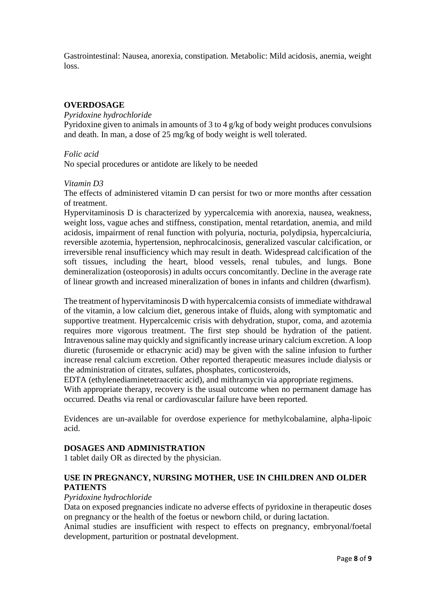Gastrointestinal: Nausea, anorexia, constipation. Metabolic: Mild acidosis, anemia, weight loss.

## **OVERDOSAGE**

#### *Pyridoxine hydrochloride*

Pyridoxine given to animals in amounts of 3 to 4 g/kg of body weight produces convulsions and death. In man, a dose of 25 mg/kg of body weight is well tolerated.

#### *Folic acid*

No special procedures or antidote are likely to be needed

#### *Vitamin D3*

The effects of administered vitamin D can persist for two or more months after cessation of treatment.

Hypervitaminosis D is characterized by yypercalcemia with anorexia, nausea, weakness, weight loss, vague aches and stiffness, constipation, mental retardation, anemia, and mild acidosis, impairment of renal function with polyuria, nocturia, polydipsia, hypercalciuria, reversible azotemia, hypertension, nephrocalcinosis, generalized vascular calcification, or irreversible renal insufficiency which may result in death. Widespread calcification of the soft tissues, including the heart, blood vessels, renal tubules, and lungs. Bone demineralization (osteoporosis) in adults occurs concomitantly. Decline in the average rate of linear growth and increased mineralization of bones in infants and children (dwarfism).

The treatment of hypervitaminosis D with hypercalcemia consists of immediate withdrawal of the vitamin, a low calcium diet, generous intake of fluids, along with symptomatic and supportive treatment. Hypercalcemic crisis with dehydration, stupor, coma, and azotemia requires more vigorous treatment. The first step should be hydration of the patient. Intravenous saline may quickly and significantly increase urinary calcium excretion. A loop diuretic (furosemide or ethacrynic acid) may be given with the saline infusion to further increase renal calcium excretion. Other reported therapeutic measures include dialysis or the administration of citrates, sulfates, phosphates, corticosteroids,

EDTA (ethylenediaminetetraacetic acid), and mithramycin via appropriate regimens.

With appropriate therapy, recovery is the usual outcome when no permanent damage has occurred. Deaths via renal or cardiovascular failure have been reported.

Evidences are un-available for overdose experience for methylcobalamine, alpha-lipoic acid.

### **DOSAGES AND ADMINISTRATION**

1 tablet daily OR as directed by the physician.

# **USE IN PREGNANCY, NURSING MOTHER, USE IN CHILDREN AND OLDER PATIENTS**

### *Pyridoxine hydrochloride*

Data on exposed pregnancies indicate no adverse effects of pyridoxine in therapeutic doses on pregnancy or the health of the foetus or newborn child, or during lactation.

Animal studies are insufficient with respect to effects on pregnancy, embryonal/foetal development, parturition or postnatal development.